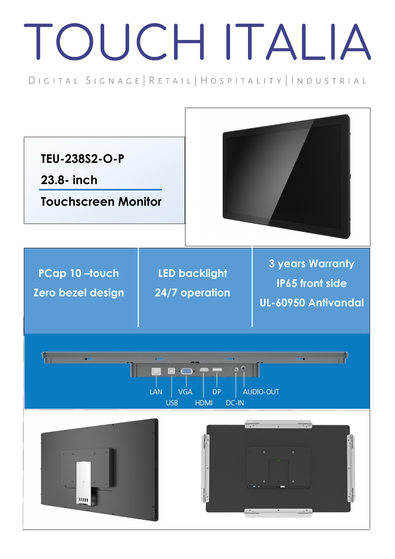## TOUCH ITALIA

DIGITAL SIGNAGE | RETAIL | HOSPITALITY | INDUSTRIAL